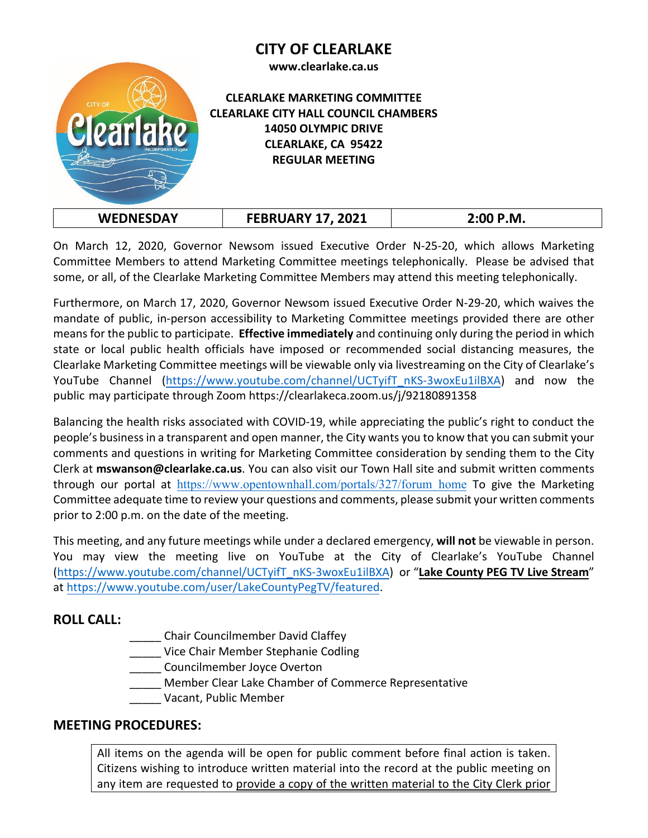## **CITY OF CLEARLAKE**





### **CLEARLAKE MARKETING COMMITTEE CLEARLAKE CITY HALL COUNCIL CHAMBERS 14050 OLYMPIC DRIVE CLEARLAKE, CA 95422 REGULAR MEETING**

| <b>WEDNESDAY</b> | <b>FEBRUARY 17, 2021</b> | $2:00$ P.M. |
|------------------|--------------------------|-------------|
|------------------|--------------------------|-------------|

On March 12, 2020, Governor Newsom issued Executive Order N-25-20, which allows Marketing Committee Members to attend Marketing Committee meetings telephonically. Please be advised that some, or all, of the Clearlake Marketing Committee Members may attend this meeting telephonically.

Furthermore, on March 17, 2020, Governor Newsom issued Executive Order N-29-20, which waives the mandate of public, in-person accessibility to Marketing Committee meetings provided there are other means for the public to participate. **Effective immediately** and continuing only during the period in which state or local public health officials have imposed or recommended social distancing measures, the Clearlake Marketing Committee meetings will be viewable only via livestreaming on the City of Clearlake's YouTube Channel [\(https://www.youtube.com/channel/UCTyifT\\_nKS-3woxEu1ilBXA\)](https://www.youtube.com/channel/UCTyifT_nKS-3woxEu1ilBXA) and now the public may participate through Zoom <https://clearlakeca.zoom.us/j/92180891358>

Balancing the health risks associated with COVID-19, while appreciating the public's right to conduct the people's business in a transparent and open manner, the City wants you to know that you can submit your comments and questions in writing for Marketing Committee consideration by sending them to the City Clerk at **mswanson@clearlake.ca.us**. You can also visit our Town Hall site and submit written comments through our portal at [https://www.opentownhall.com/portals/327/forum\\_home](https://www.opentownhall.com/portals/327/forum_home) To give the Marketing Committee adequate time to review your questions and comments, please submit your written comments prior to 2:00 p.m. on the date of the meeting.

This meeting, and any future meetings while under a declared emergency, **will not** be viewable in person. You may view the meeting live on YouTube at the City of Clearlake's YouTube Channel [\(https://www.youtube.com/channel/UCTyifT\\_nKS-3woxEu1ilBXA\)](https://www.youtube.com/channel/UCTyifT_nKS-3woxEu1ilBXA) or "**Lake County PEG TV Live Stream**" a[t https://www.youtube.com/user/LakeCountyPegTV/featured.](https://www.youtube.com/user/LakeCountyPegTV/featured) 

## **ROLL CALL:**

- \_\_\_\_\_ Chair Councilmember David Claffey
- \_\_\_\_\_ Vice Chair Member Stephanie Codling
- \_\_\_\_\_ Councilmember Joyce Overton
- \_\_\_\_\_ Member Clear Lake Chamber of Commerce Representative
	- \_\_\_\_\_ Vacant, Public Member

## **MEETING PROCEDURES:**

All items on the agenda will be open for public comment before final action is taken. Citizens wishing to introduce written material into the record at the public meeting on any item are requested to provide a copy of the written material to the City Clerk prior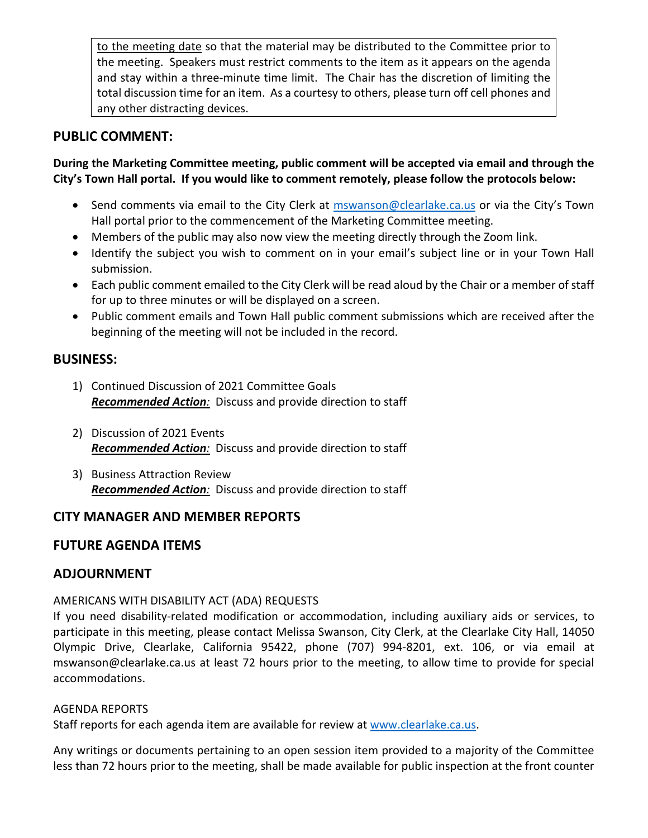to the meeting date so that the material may be distributed to the Committee prior to the meeting. Speakers must restrict comments to the item as it appears on the agenda and stay within a three-minute time limit. The Chair has the discretion of limiting the total discussion time for an item. As a courtesy to others, please turn off cell phones and any other distracting devices.

## **PUBLIC COMMENT:**

### **During the Marketing Committee meeting, public comment will be accepted via email and through the City's Town Hall portal. If you would like to comment remotely, please follow the protocols below:**

- Send comments via email to the City Clerk at [mswanson@clearlake.ca.us](mailto:mswanson@clearlake.ca.us) or via the City's Town Hall portal prior to the commencement of the Marketing Committee meeting.
- Members of the public may also now view the meeting directly through the Zoom link.
- Identify the subject you wish to comment on in your email's subject line or in your Town Hall submission.
- Each public comment emailed to the City Clerk will be read aloud by the Chair or a member of staff for up to three minutes or will be displayed on a screen.
- Public comment emails and Town Hall public comment submissions which are received after the beginning of the meeting will not be included in the record.

### **BUSINESS:**

- 1) Continued Discussion of 2021 Committee Goals *Recommended Action:* Discuss and provide direction to staff
- 2) Discussion of 2021 Events *Recommended Action:* Discuss and provide direction to staff
- 3) Business Attraction Review *Recommended Action:* Discuss and provide direction to staff

## **CITY MANAGER AND MEMBER REPORTS**

## **FUTURE AGENDA ITEMS**

## **ADJOURNMENT**

### AMERICANS WITH DISABILITY ACT (ADA) REQUESTS

If you need disability-related modification or accommodation, including auxiliary aids or services, to participate in this meeting, please contact Melissa Swanson, City Clerk, at the Clearlake City Hall, 14050 Olympic Drive, Clearlake, California 95422, phone (707) 994-8201, ext. 106, or via email at mswanson@clearlake.ca.us at least 72 hours prior to the meeting, to allow time to provide for special accommodations.

#### AGENDA REPORTS

Staff reports for each agenda item are available for review at [www.clearlake.ca.us.](http://www.clearlake.ca.us/)

Any writings or documents pertaining to an open session item provided to a majority of the Committee less than 72 hours prior to the meeting, shall be made available for public inspection at the front counter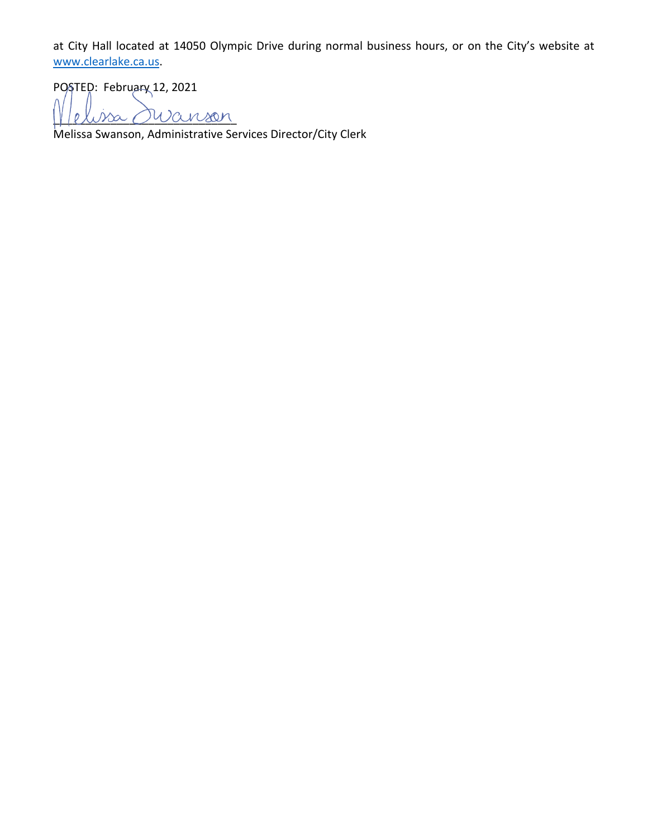at City Hall located at 14050 Olympic Drive during normal business hours, or on the City's website at [www.clearlake.ca.us.](http://www.clearlake.ca.us/)

POSTED: February 12, 2021

\_\_\_\_\_\_\_\_\_\_\_\_\_\_\_\_\_\_\_\_\_\_\_\_\_\_\_\_\_

Melissa Swanson, Administrative Services Director/City Clerk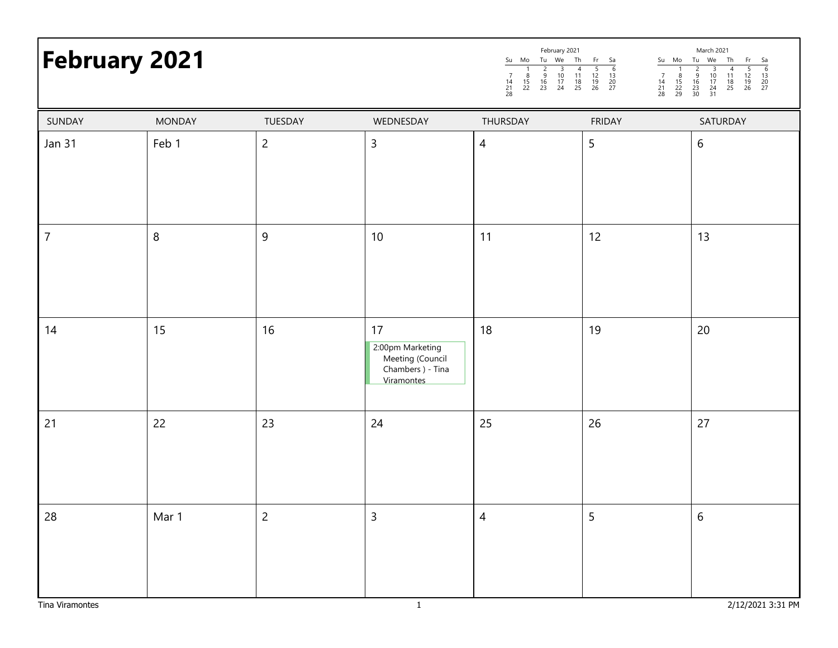# **February 2021**

|                |               |               | February 2021  |                |          |                     |                |                     |                     | March 2021           |                |                |                     |
|----------------|---------------|---------------|----------------|----------------|----------|---------------------|----------------|---------------------|---------------------|----------------------|----------------|----------------|---------------------|
| Su             | Mo            | Tu            | We             | Th             | Fr       | Sa                  | Su             | Mo                  | Tu                  | We                   | Th             | Fr             | Sa                  |
| 14<br>21<br>28 | 8<br>15<br>22 | 9<br>16<br>23 | 10<br>17<br>24 | 11<br>18<br>25 | 19<br>26 | 6<br>13<br>20<br>27 | 14<br>21<br>28 | 8<br>15<br>22<br>29 | 9<br>16<br>23<br>30 | 10<br>17<br>24<br>31 | 11<br>18<br>25 | 12<br>19<br>26 | 6<br>13<br>20<br>27 |

| SUNDAY          | <b>MONDAY</b> | TUESDAY        | WEDNESDAY                                                                     | THURSDAY       | FRIDAY | SATURDAY          |
|-----------------|---------------|----------------|-------------------------------------------------------------------------------|----------------|--------|-------------------|
| Jan 31          | Feb 1         | $\overline{c}$ | $\overline{3}$                                                                | $\overline{4}$ | 5      | 6                 |
| $\overline{7}$  | $\,8\,$       | $\mathsf 9$    | $10\,$                                                                        | 11             | 12     | 13                |
| 14              | 15            | 16             | 17<br>2:00pm Marketing<br>Meeting (Council<br>Chambers ) - Tina<br>Viramontes | $18$           | 19     | $20\,$            |
| 21              | 22            | 23             | 24                                                                            | 25             | 26     | 27                |
| 28              | Mar 1         | $\overline{2}$ | $\overline{3}$                                                                | $\overline{4}$ | 5      | $6\,$             |
| Tina Viramontes |               |                | $\overline{1}$                                                                |                |        | 2/12/2021 3:31 PM |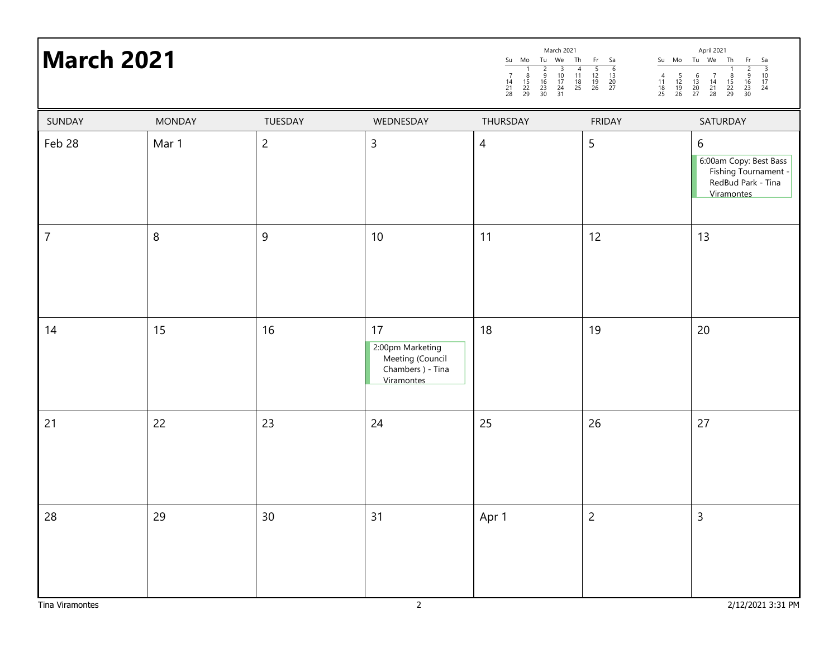| <b>March 2021</b> |               |                |                                                                               |                | March 2021<br>April 2021<br>Su Mo Tu We Th<br>Su Mo Tu We Th Fr Sa<br>$\frac{Fr}{2}$ $\frac{3}{9}$ $\frac{9}{10}$<br>$\frac{16}{23}$ $\frac{17}{24}$<br>$\begin{array}{@{}c@{\hspace{1em}}c@{\hspace{1em}}c@{\hspace{1em}}}\n \hline\n 5 & 6 \\  12 & 13 \\  19 & 20 \\  26 & 27\n \end{array}$<br>$\frac{4}{11}$<br>$\frac{18}{25}$<br>$\begin{array}{c} 4 \\ 11 \\ 18 \\ 25 \end{array}$<br>$\frac{8}{15}$<br>22<br>29<br>$\frac{5}{12}$<br>$\frac{12}{19}$<br>26<br>$\begin{array}{c} 6 \\ 13 \\ 20 \\ 27 \end{array}$<br>$\begin{array}{c} 7 \\ 14 \\ 21 \\ 28 \end{array}$<br>$\frac{8}{15}$<br>22<br>29<br>$\begin{array}{c} 14 \\ 21 \\ 28 \end{array}$<br>$\begin{array}{c} 16 \\ 23 \\ 30 \end{array}$ |                                                                                                    |  |  |
|-------------------|---------------|----------------|-------------------------------------------------------------------------------|----------------|-----------------------------------------------------------------------------------------------------------------------------------------------------------------------------------------------------------------------------------------------------------------------------------------------------------------------------------------------------------------------------------------------------------------------------------------------------------------------------------------------------------------------------------------------------------------------------------------------------------------------------------------------------------------------------------------------------------------|----------------------------------------------------------------------------------------------------|--|--|
| SUNDAY            | <b>MONDAY</b> | TUESDAY        | WEDNESDAY                                                                     | THURSDAY       | <b>FRIDAY</b>                                                                                                                                                                                                                                                                                                                                                                                                                                                                                                                                                                                                                                                                                                   | SATURDAY                                                                                           |  |  |
| Feb 28            | Mar 1         | $\overline{c}$ | $\overline{3}$                                                                | $\overline{4}$ | $\mathsf S$                                                                                                                                                                                                                                                                                                                                                                                                                                                                                                                                                                                                                                                                                                     | $6\,$<br>6:00am Copy: Best Bass<br>Fishing Tournament -<br>RedBud Park - Tina<br><b>Viramontes</b> |  |  |
| $\boldsymbol{7}$  | $\, 8$        | $9\,$          | $10\,$                                                                        | 11             | 12                                                                                                                                                                                                                                                                                                                                                                                                                                                                                                                                                                                                                                                                                                              | 13                                                                                                 |  |  |
| 14                | 15            | 16             | 17<br>2:00pm Marketing<br>Meeting (Council<br>Chambers ) - Tina<br>Viramontes | 18             | 19                                                                                                                                                                                                                                                                                                                                                                                                                                                                                                                                                                                                                                                                                                              | 20                                                                                                 |  |  |
| 21                | 22            | 23             | 24                                                                            | 25             | 26                                                                                                                                                                                                                                                                                                                                                                                                                                                                                                                                                                                                                                                                                                              | 27                                                                                                 |  |  |
| 28                | 29            | 30             | 31                                                                            | Apr 1          | $\overline{c}$                                                                                                                                                                                                                                                                                                                                                                                                                                                                                                                                                                                                                                                                                                  | $\mathsf{3}$                                                                                       |  |  |

March 2021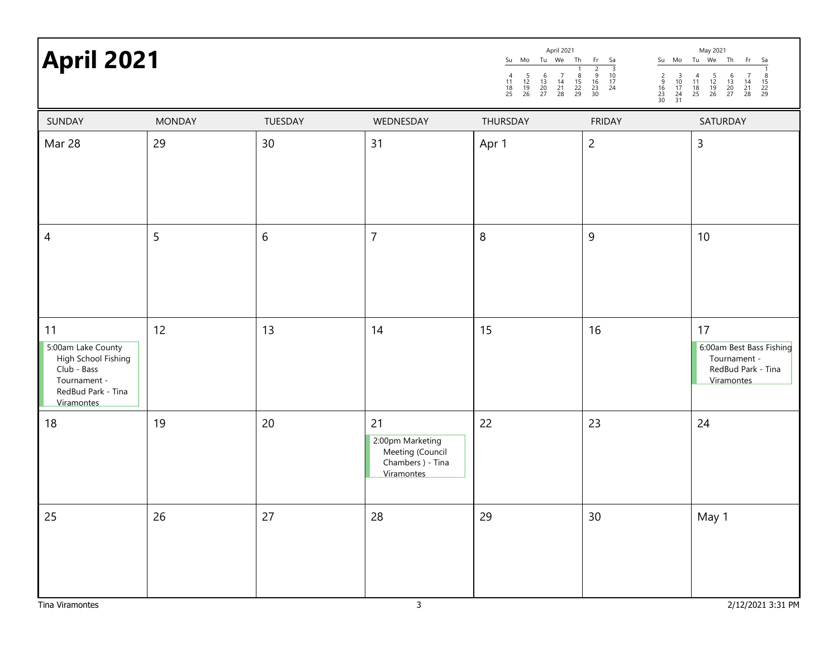# **April 2021 April 2021 April 2021 April 2021 April 2021 April 2021 April 2021 April 2021 April 2021**

| Aprii 2021                                                                                                         |               |         |                                                                               | Su Mo<br>Tu We<br>Th<br>$\begin{array}{c} 6 \\ 13 \\ 20 \\ 27 \end{array}$<br>$\begin{array}{c} 4 \\ 11 \\ 18 \\ 25 \end{array}$<br>$\frac{5}{12}$<br>$\frac{12}{19}$<br>26<br>$\begin{array}{c} 7 \\ 14 \\ 21 \\ 28 \end{array}$<br>$\frac{8}{15}$<br>22<br>29 | Fr<br>$\begin{array}{r} 5a \\ \hline 3 \\ 10 \\ 17 \\ 24 \end{array}$<br>Su Mo<br>$\frac{2}{9}$<br>$\frac{16}{23}$<br>$\frac{23}{30}$<br>$\begin{array}{c}\n 2 \\  9 \\  16 \\  23 \\  30\n \end{array}$<br>$\frac{3}{10}$<br>$\frac{17}{24}$<br>$\frac{24}{31}$ | Tu We<br>Th<br>Fr.<br>Sa<br>$\begin{array}{c} 6 \\ 13 \\ 20 \\ 27 \end{array}$<br>$\begin{array}{c} 4 \\ 11 \\ 18 \\ 25 \end{array}$<br>$\frac{5}{12}$<br>$\frac{12}{19}$<br>26<br>8<br>$\frac{14}{21}$<br>28<br>$\frac{15}{22}$<br>22<br>29 |
|--------------------------------------------------------------------------------------------------------------------|---------------|---------|-------------------------------------------------------------------------------|-----------------------------------------------------------------------------------------------------------------------------------------------------------------------------------------------------------------------------------------------------------------|------------------------------------------------------------------------------------------------------------------------------------------------------------------------------------------------------------------------------------------------------------------|----------------------------------------------------------------------------------------------------------------------------------------------------------------------------------------------------------------------------------------------|
| SUNDAY                                                                                                             | <b>MONDAY</b> | TUESDAY | WEDNESDAY                                                                     | THURSDAY                                                                                                                                                                                                                                                        | <b>FRIDAY</b>                                                                                                                                                                                                                                                    | SATURDAY                                                                                                                                                                                                                                     |
| Mar 28                                                                                                             | 29            | 30      | 31                                                                            | Apr 1                                                                                                                                                                                                                                                           | $\overline{c}$                                                                                                                                                                                                                                                   | $\mathsf{3}$                                                                                                                                                                                                                                 |
| 4                                                                                                                  | 5             | 6       | $\overline{7}$                                                                | $\, 8$                                                                                                                                                                                                                                                          | $\boldsymbol{9}$                                                                                                                                                                                                                                                 | 10                                                                                                                                                                                                                                           |
| 11<br>5:00am Lake County<br>High School Fishing<br>Club - Bass<br>Tournament -<br>RedBud Park - Tina<br>Viramontes | 12            | 13      | 14                                                                            | 15                                                                                                                                                                                                                                                              | 16                                                                                                                                                                                                                                                               | 17<br>6:00am Best Bass Fishing<br>Tournament -<br>RedBud Park - Tina<br>Viramontes                                                                                                                                                           |
| 18                                                                                                                 | 19            | 20      | 21<br>2:00pm Marketing<br>Meeting (Council<br>Chambers ) - Tina<br>Viramontes | 22                                                                                                                                                                                                                                                              | 23                                                                                                                                                                                                                                                               | 24                                                                                                                                                                                                                                           |
| 25                                                                                                                 | 26            | 27      | 28                                                                            | 29                                                                                                                                                                                                                                                              | 30                                                                                                                                                                                                                                                               | May 1                                                                                                                                                                                                                                        |

April 2021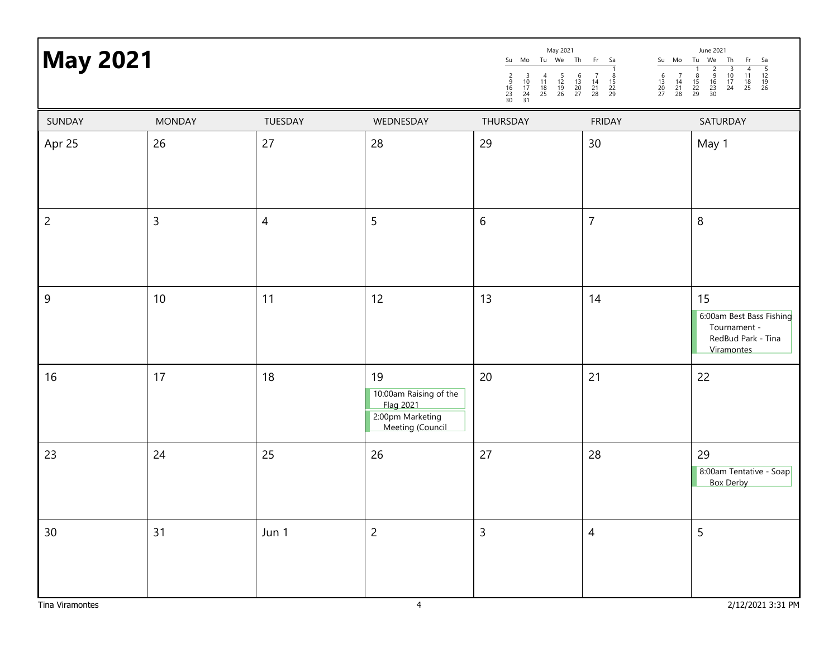| <b>May 2021</b> |               |                |                                                                                          | May 2021<br>June 2021<br>Su Mo Tu We<br>Th<br>Tu We<br>Fr<br>Su Mo<br>Th<br>Sa<br>Fr<br>$\begin{array}{r} 5a \\ \hline 5 \\ 12 \\ 19 \\ 26 \end{array}$<br>$\frac{2}{9}$<br>$\frac{16}{23}$<br>30<br>$\begin{array}{c}\n3 \\ 10 \\ 17 \\ 24\n\end{array}$<br>$\begin{array}{c}\n4 \\ 11 \\ 18 \\ 25\n\end{array}$<br>$\overline{1}$<br>$\mathbf{1}$<br>$\begin{array}{c} 5 \\ 12 \\ 19 \\ 26 \end{array}$<br>$\begin{array}{c} 6 \\ 13 \\ 20 \\ 27 \end{array}$<br>$\begin{array}{c} 7 \\ 14 \\ 21 \\ 28 \end{array}$<br>$\frac{8}{15}$<br>22<br>29<br>$\begin{array}{c} 6 \\ 13 \\ 20 \\ 27 \end{array}$<br>$\begin{array}{c} 7 \\ 14 \\ 21 \\ 28 \end{array}$<br>$\frac{8}{15}$<br>22<br>29<br>$\frac{2}{9}$<br>$\frac{16}{23}$<br>$\frac{23}{30}$<br>$\begin{array}{c} 3 \\ 10 \\ 17 \\ 24 \\ 31 \end{array}$<br>$\begin{array}{c} 4 \\ 11 \\ 18 \\ 25 \end{array}$ |                |                                                                                    |  |
|-----------------|---------------|----------------|------------------------------------------------------------------------------------------|------------------------------------------------------------------------------------------------------------------------------------------------------------------------------------------------------------------------------------------------------------------------------------------------------------------------------------------------------------------------------------------------------------------------------------------------------------------------------------------------------------------------------------------------------------------------------------------------------------------------------------------------------------------------------------------------------------------------------------------------------------------------------------------------------------------------------------------------------------------------|----------------|------------------------------------------------------------------------------------|--|
| SUNDAY          | <b>MONDAY</b> | TUESDAY        | WEDNESDAY                                                                                | THURSDAY                                                                                                                                                                                                                                                                                                                                                                                                                                                                                                                                                                                                                                                                                                                                                                                                                                                               | <b>FRIDAY</b>  | SATURDAY                                                                           |  |
| Apr 25          | 26            | 27             | 28                                                                                       | 29                                                                                                                                                                                                                                                                                                                                                                                                                                                                                                                                                                                                                                                                                                                                                                                                                                                                     | 30             | May 1                                                                              |  |
| $\overline{c}$  | $\mathsf 3$   | $\overline{4}$ | 5                                                                                        | $\boldsymbol{6}$                                                                                                                                                                                                                                                                                                                                                                                                                                                                                                                                                                                                                                                                                                                                                                                                                                                       | $\overline{7}$ | $\, 8$                                                                             |  |
| 9               | 10            | 11             | 12                                                                                       | 13                                                                                                                                                                                                                                                                                                                                                                                                                                                                                                                                                                                                                                                                                                                                                                                                                                                                     | 14             | 15<br>6:00am Best Bass Fishing<br>Tournament -<br>RedBud Park - Tina<br>Viramontes |  |
| 16              | 17            | 18             | 19<br>10:00am Raising of the<br>Flag 2021<br>2:00pm Marketing<br><b>Meeting (Council</b> | 20                                                                                                                                                                                                                                                                                                                                                                                                                                                                                                                                                                                                                                                                                                                                                                                                                                                                     | 21             | 22                                                                                 |  |
| 23              | 24            | 25             | 26                                                                                       | 27                                                                                                                                                                                                                                                                                                                                                                                                                                                                                                                                                                                                                                                                                                                                                                                                                                                                     | 28             | 29<br>8:00am Tentative - Soap<br><b>Box Derby</b>                                  |  |
| $30\,$          | 31            | Jun 1          | $\overline{c}$                                                                           | $\mathsf{3}$                                                                                                                                                                                                                                                                                                                                                                                                                                                                                                                                                                                                                                                                                                                                                                                                                                                           | $\overline{4}$ | 5                                                                                  |  |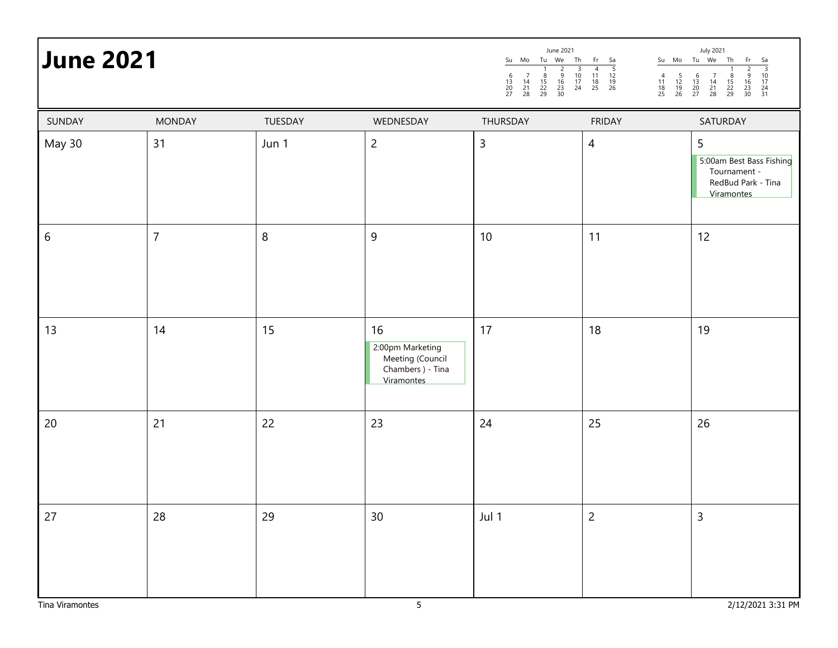# June 2021 **July** 2021 **July** 2021 **July 2021**

|                  |                |         |                                                                               | $\frac{1}{8}$<br>$\frac{15}{22}$<br>29<br>$\begin{array}{c}\n 2 \\  9 \\  16 \\  23 \\  30\n \end{array}$<br>$\begin{array}{c} 3 \\ 10 \\ 17 \\ 24 \end{array}$<br>$\begin{array}{c} 6 \\ 13 \\ 20 \\ 27 \end{array}$<br>$\begin{array}{c} 7 \\ 14 \\ 21 \\ 28 \end{array}$ | $\begin{array}{c} 4 \\ 11 \\ 18 \\ 25 \end{array}$<br>$\begin{array}{c} 5 \\ 12 \\ 19 \\ 26 \end{array}$<br>$\begin{array}{c} 4 \\ 11 \\ 18 \\ 25 \end{array}$<br>$\frac{5}{12}$<br>$\frac{12}{19}$<br>26 | $\frac{1}{8}$<br>$\frac{15}{22}$<br>29<br>$\begin{array}{ccc} 2 & 3 \\ 9 & 10 \\ 16 & 17 \\ 23 & 24 \\ 30 & 31 \end{array}$<br>$\begin{array}{c} 6 \\ 13 \\ 20 \\ 27 \end{array}$<br>$\begin{array}{c} 7 \\ 14 \\ 21 \\ 28 \end{array}$ |
|------------------|----------------|---------|-------------------------------------------------------------------------------|-----------------------------------------------------------------------------------------------------------------------------------------------------------------------------------------------------------------------------------------------------------------------------|-----------------------------------------------------------------------------------------------------------------------------------------------------------------------------------------------------------|-----------------------------------------------------------------------------------------------------------------------------------------------------------------------------------------------------------------------------------------|
| SUNDAY           | <b>MONDAY</b>  | TUESDAY | WEDNESDAY                                                                     | THURSDAY                                                                                                                                                                                                                                                                    | <b>FRIDAY</b>                                                                                                                                                                                             | SATURDAY                                                                                                                                                                                                                                |
| May 30           | 31             | Jun 1   | $\overline{c}$                                                                | $\mathsf{3}$                                                                                                                                                                                                                                                                | $\overline{4}$                                                                                                                                                                                            | 5<br>5:00am Best Bass Fishing<br>Tournament -<br>RedBud Park - Tina<br>Viramontes                                                                                                                                                       |
| $\boldsymbol{6}$ | $\overline{7}$ | $\, 8$  | $\overline{9}$                                                                | 10                                                                                                                                                                                                                                                                          | 11                                                                                                                                                                                                        | 12                                                                                                                                                                                                                                      |
| 13               | 14             | 15      | 16<br>2:00pm Marketing<br>Meeting (Council<br>Chambers ) - Tina<br>Viramontes | 17                                                                                                                                                                                                                                                                          | 18                                                                                                                                                                                                        | 19                                                                                                                                                                                                                                      |
| 20               | 21             | 22      | 23                                                                            | 24                                                                                                                                                                                                                                                                          | 25                                                                                                                                                                                                        | $26\,$                                                                                                                                                                                                                                  |
| 27               | 28             | 29      | 30                                                                            | Jul 1                                                                                                                                                                                                                                                                       | $\overline{c}$                                                                                                                                                                                            | $\overline{3}$                                                                                                                                                                                                                          |
| Tina Viramontes  |                |         | $\overline{5}$                                                                |                                                                                                                                                                                                                                                                             |                                                                                                                                                                                                           | 2/12/2021 3:31 PM                                                                                                                                                                                                                       |

Su Mo Tu We Th Fr Sa

Su Mo Tu We Th Fr Sa

June 2021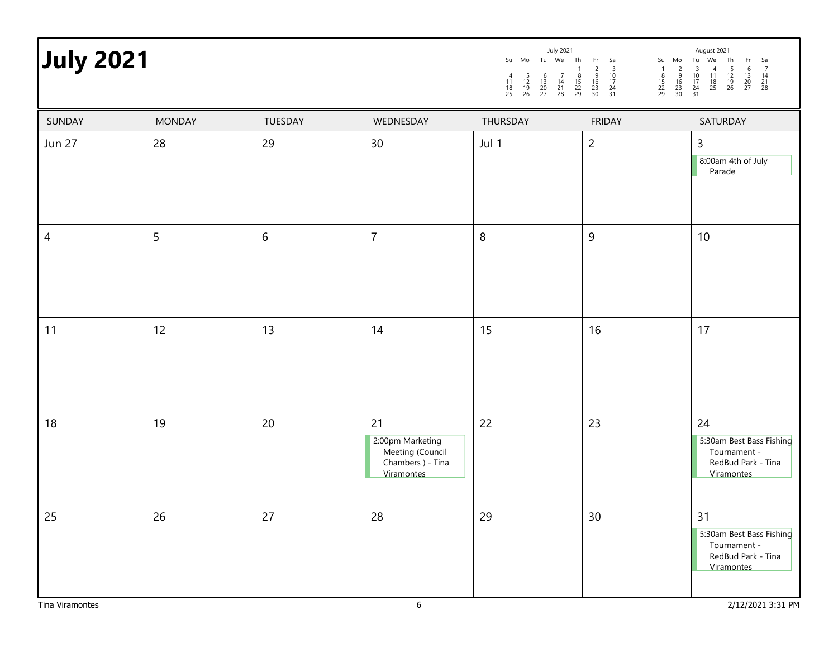| <b>July 2021</b> |               |         |                                                                               | Su Mo Tu We Th<br>$\frac{5}{12}$<br>$\frac{12}{19}$<br>26<br>$\begin{array}{c} 6 \\ 13 \\ 20 \\ 27 \end{array}$<br>$\frac{11}{18}$<br>25 | July 2021<br>Fr<br>Sa<br>$\frac{3}{10}$<br>$\frac{17}{24}$<br>$\frac{24}{31}$<br>$\frac{2}{9}$<br>$\frac{16}{23}$<br>30<br>$\frac{8}{15}$<br>22<br>29<br>$\frac{14}{21}$<br>28 | August 2021<br>$\frac{Su - Mo - Tu - We}{1 - 2 - 3 - 4}$<br>Th<br>Fr<br>Sa<br>$\frac{7}{14}$<br>$\frac{21}{28}$<br>$\frac{5}{12}$<br>$\frac{12}{19}$<br>26<br>$\frac{6}{13}$<br>$\frac{20}{27}$<br>$\begin{array}{c}\n2 \\ 9 \\ 16 \\ 23 \\ 30\n\end{array}$<br>$\begin{array}{r} 3 \\ 10 \\ 17 \\ 24 \\ 31 \end{array}$<br>$\frac{8}{15}$<br>22<br>29<br>$\frac{11}{18}$<br>25 |
|------------------|---------------|---------|-------------------------------------------------------------------------------|------------------------------------------------------------------------------------------------------------------------------------------|--------------------------------------------------------------------------------------------------------------------------------------------------------------------------------|---------------------------------------------------------------------------------------------------------------------------------------------------------------------------------------------------------------------------------------------------------------------------------------------------------------------------------------------------------------------------------|
| SUNDAY           | <b>MONDAY</b> | TUESDAY | WEDNESDAY                                                                     | THURSDAY                                                                                                                                 | <b>FRIDAY</b>                                                                                                                                                                  | SATURDAY                                                                                                                                                                                                                                                                                                                                                                        |
| <b>Jun 27</b>    | 28            | 29      | 30                                                                            | Jul 1                                                                                                                                    | $\overline{c}$                                                                                                                                                                 | $\mathsf{3}$<br>8:00am 4th of July<br>Parade                                                                                                                                                                                                                                                                                                                                    |
| $\overline{4}$   | 5             | $6\,$   | $\overline{7}$                                                                | 8                                                                                                                                        | $9$                                                                                                                                                                            | 10                                                                                                                                                                                                                                                                                                                                                                              |
| 11               | 12            | 13      | 14                                                                            | 15                                                                                                                                       | 16                                                                                                                                                                             | 17                                                                                                                                                                                                                                                                                                                                                                              |
| 18               | 19            | 20      | 21<br>2:00pm Marketing<br>Meeting (Council<br>Chambers ) - Tina<br>Viramontes | 22                                                                                                                                       | 23                                                                                                                                                                             | 24<br>5:30am Best Bass Fishing<br>Tournament -<br>RedBud Park - Tina<br>Viramontes                                                                                                                                                                                                                                                                                              |
| 25               | 26            | 27      | 28                                                                            | 29                                                                                                                                       | 30                                                                                                                                                                             | 31<br>5:30am Best Bass Fishing<br>Tournament -<br>RedBud Park - Tina<br>Viramontes                                                                                                                                                                                                                                                                                              |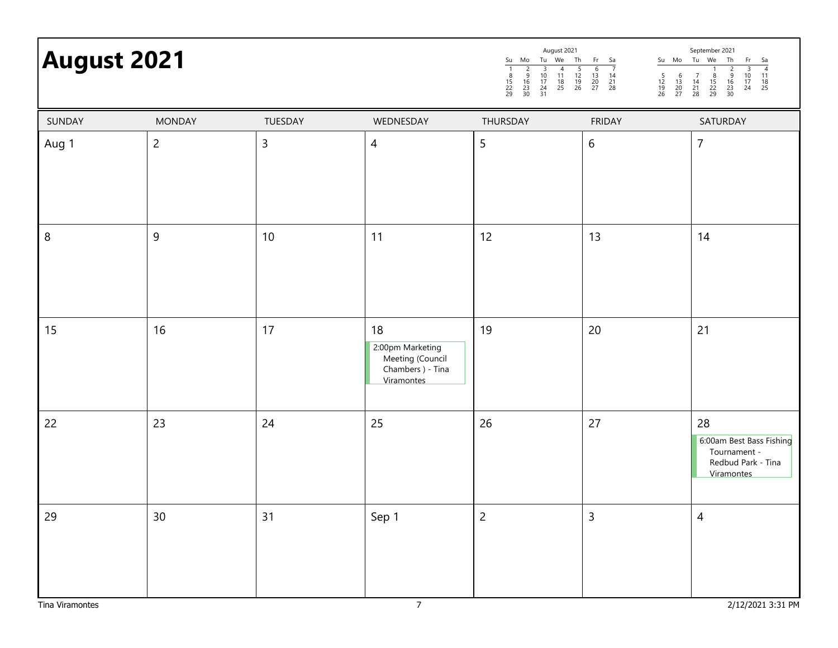# September 2021 **August 2021**

| <b>August 2021</b> |               |                |           | August 2021<br>Th<br>Tu We<br>Su<br>Mo<br>12<br>$\begin{array}{c} 19 \\ 26 \end{array}$<br>$\begin{array}{c} 18 \\ 25 \end{array}$<br>15<br>22<br>29<br>$\frac{17}{24}$<br>$\begin{array}{c} 16 \\ 23 \\ 30 \end{array}$<br>31 | Fr Sa<br>Su Mo<br>13<br>14<br>$\frac{20}{27}$<br>$^{21}_{28}$<br>$\frac{12}{19}$<br>26<br>$^{13}_{20}$<br>27 | September 2021<br>Th<br>Tu We<br>-Sa<br>- Fr<br>$\frac{17}{24}$<br>$\begin{array}{c} 16 \\ 23 \end{array}$<br>$\frac{14}{21}$<br>$\begin{array}{c} 15 \\ 22 \end{array}$<br>$\begin{array}{c} 18 \\ 25 \end{array}$<br>29<br>28<br>30 |
|--------------------|---------------|----------------|-----------|--------------------------------------------------------------------------------------------------------------------------------------------------------------------------------------------------------------------------------|--------------------------------------------------------------------------------------------------------------|---------------------------------------------------------------------------------------------------------------------------------------------------------------------------------------------------------------------------------------|
| SUNDAY             | <b>MONDAY</b> | <b>TUESDAY</b> | WEDNESDAY | <b>THURSDAY</b>                                                                                                                                                                                                                | <b>FRIDAY</b>                                                                                                | SATURDAY                                                                                                                                                                                                                              |
| Aug 1              |               | Ξ              | 4         |                                                                                                                                                                                                                                | b                                                                                                            |                                                                                                                                                                                                                                       |

| Aug 1           | $\overline{2}$ | $\mathsf{3}$ | $\overline{4}$                                                                    | 5              | $6\,$          | $\overline{7}$                                                                     |
|-----------------|----------------|--------------|-----------------------------------------------------------------------------------|----------------|----------------|------------------------------------------------------------------------------------|
|                 |                |              |                                                                                   |                |                |                                                                                    |
| 8               | $\overline{9}$ | $10\,$       | 11                                                                                | 12             | 13             | 14                                                                                 |
| 15              | $16\,$         | 17           | $18\,$<br>2:00pm Marketing<br>Meeting (Council<br>Chambers ) - Tina<br>Viramontes | 19             | $20\,$         | 21                                                                                 |
| 22              | 23             | 24           | 25                                                                                | 26             | 27             | 28<br>6:00am Best Bass Fishing<br>Tournament -<br>Redbud Park - Tina<br>Viramontes |
| 29              | $30\,$         | 31           | Sep 1                                                                             | $\overline{2}$ | $\overline{3}$ | $\overline{4}$                                                                     |
| Tina Viramontes |                |              | $\overline{7}$                                                                    |                |                | 2/12/2021 3:31 PM                                                                  |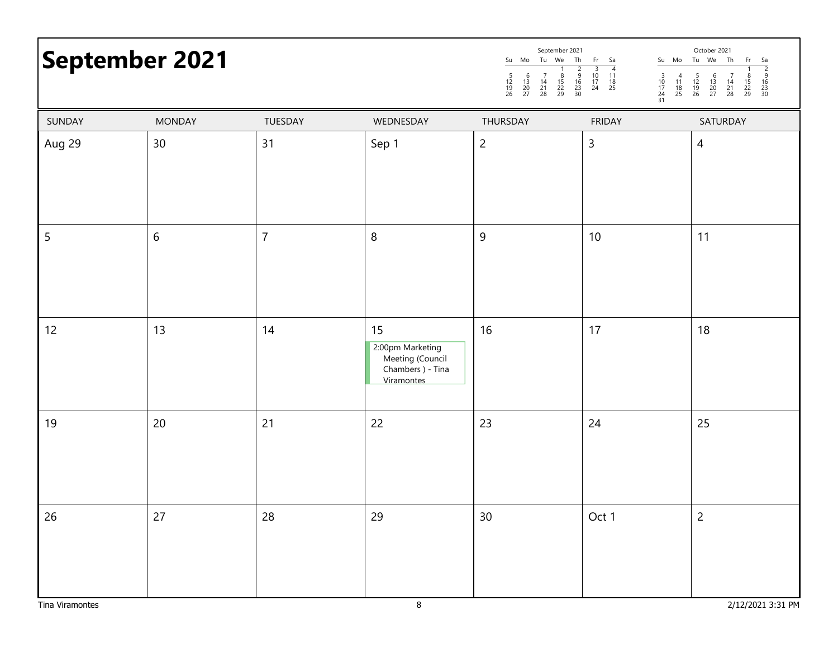## September 2021 and the september 2021 and the september 2021 and the september 2021 and the september 2021 and the september 2021 and the september 2021 and the september 2021 and the september 2021 and the september 2021

| September 2021 |                 |                |                                                                               | Su Mo Tu We<br>Th<br>$\begin{array}{c}\n2 \\ 9 \\ 16 \\ 23 \\ 30\n\end{array}$<br>$\begin{array}{c} 6 \\ 13 \\ 20 \\ 27 \end{array}$<br>$\frac{5}{12}$<br>$\frac{12}{19}$<br>26<br>$\begin{array}{c} 7 \\ 14 \\ 21 \\ 28 \end{array}$<br>$\frac{8}{15}$<br>22<br>29 | $\begin{array}{r} \n\text{Fr} \quad \text{Sa} \\ \hline\n3 \quad 4 \\ 10 \quad 11 \\ 17 \quad 18 \\ 24 \quad 25\n\end{array}$<br>Su Mo Tu We<br>$\frac{3}{10}$<br>$\frac{17}{24}$<br>$\frac{24}{31}$<br>$\begin{array}{c} 4 \\ 11 \\ 18 \\ 25 \end{array}$ | Th<br>Fr<br>$\begin{array}{r} 6a \\ \hline 2 \\ 9 \\ 16 \\ 23 \\ 30 \end{array}$<br>$\frac{5}{12}$<br>$\frac{12}{19}$<br>26<br>$\begin{array}{c} 6 \\ 13 \\ 20 \\ 27 \end{array}$<br>$\begin{array}{c} 7 \\ 14 \\ 21 \\ 28 \end{array}$<br>$\frac{8}{15}$<br>22<br>29 |
|----------------|-----------------|----------------|-------------------------------------------------------------------------------|---------------------------------------------------------------------------------------------------------------------------------------------------------------------------------------------------------------------------------------------------------------------|------------------------------------------------------------------------------------------------------------------------------------------------------------------------------------------------------------------------------------------------------------|-----------------------------------------------------------------------------------------------------------------------------------------------------------------------------------------------------------------------------------------------------------------------|
| SUNDAY         | <b>MONDAY</b>   | TUESDAY        | WEDNESDAY                                                                     | THURSDAY                                                                                                                                                                                                                                                            | <b>FRIDAY</b>                                                                                                                                                                                                                                              | SATURDAY                                                                                                                                                                                                                                                              |
| Aug 29         | 30 <sub>o</sub> | 31             | Sep 1                                                                         | $\overline{c}$                                                                                                                                                                                                                                                      | $\mathsf{3}$                                                                                                                                                                                                                                               | $\overline{4}$                                                                                                                                                                                                                                                        |
| 5              | $\sqrt{6}$      | $\overline{7}$ | 8                                                                             | $\overline{9}$                                                                                                                                                                                                                                                      | 10                                                                                                                                                                                                                                                         | 11                                                                                                                                                                                                                                                                    |
| 12             | 13              | 14             | 15<br>2:00pm Marketing<br>Meeting (Council<br>Chambers ) - Tina<br>Viramontes | 16                                                                                                                                                                                                                                                                  | 17                                                                                                                                                                                                                                                         | 18                                                                                                                                                                                                                                                                    |
| 19             | 20              | 21             | 22                                                                            | 23                                                                                                                                                                                                                                                                  | 24                                                                                                                                                                                                                                                         | 25                                                                                                                                                                                                                                                                    |
| 26             | 27              | $28\,$         | 29                                                                            | 30 <sup>°</sup>                                                                                                                                                                                                                                                     | Oct 1                                                                                                                                                                                                                                                      | $\overline{c}$                                                                                                                                                                                                                                                        |

September 2021

October 2021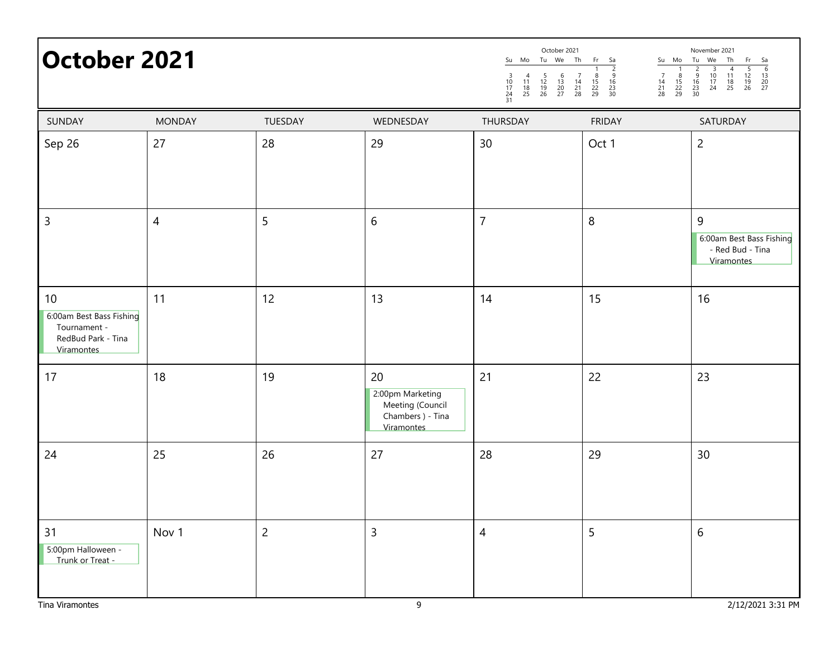| <b>October 2021</b>                                                                |               |                |                                                                               | October 2021<br>November 2021<br>Tu We Th<br>Su Mo<br>Fr<br>Su Mo<br>Tu We<br>Th<br>Sa<br>Fr<br>Sa<br>$\frac{6}{13}$<br>$\frac{20}{27}$<br>$\frac{2}{9}$<br>$\frac{16}{23}$<br>$\frac{23}{30}$<br>$\frac{5}{12}$<br>$\frac{12}{19}$<br>26<br>$\begin{array}{c}\n 3 \\  10 \\  17 \\  24\n\end{array}$<br>$\begin{array}{c}\n2 \\ 2 \\ 16 \\ 23 \\ 30\n\end{array}$<br>$\begin{array}{c}\n4 \\ 11 \\ 18 \\ 25\n\end{array}$<br>$\begin{array}{c} 7 \\ 14 \\ 21 \\ 28 \end{array}$<br>$\frac{8}{15}$<br>22<br>29<br>$\begin{array}{c} 6 \\ 13 \\ 20 \\ 27 \end{array}$<br>$\begin{array}{c} 7 \\ 14 \\ 21 \\ 28 \end{array}$<br>$\frac{8}{15}$<br>22<br>29<br>$\begin{array}{c} 4 \\ 11 \\ 18 \\ 25 \end{array}$<br>$\frac{5}{12}$<br>$\frac{12}{19}$<br>26<br>$\begin{array}{c} 3 \\ 10 \\ 17 \end{array}$<br>$\frac{24}{31}$ |               |                                                                 |  |
|------------------------------------------------------------------------------------|---------------|----------------|-------------------------------------------------------------------------------|------------------------------------------------------------------------------------------------------------------------------------------------------------------------------------------------------------------------------------------------------------------------------------------------------------------------------------------------------------------------------------------------------------------------------------------------------------------------------------------------------------------------------------------------------------------------------------------------------------------------------------------------------------------------------------------------------------------------------------------------------------------------------------------------------------------------------|---------------|-----------------------------------------------------------------|--|
| SUNDAY                                                                             | <b>MONDAY</b> | TUESDAY        | WEDNESDAY                                                                     | THURSDAY                                                                                                                                                                                                                                                                                                                                                                                                                                                                                                                                                                                                                                                                                                                                                                                                                     | <b>FRIDAY</b> | SATURDAY                                                        |  |
| Sep 26                                                                             | 27            | 28             | 29                                                                            | 30                                                                                                                                                                                                                                                                                                                                                                                                                                                                                                                                                                                                                                                                                                                                                                                                                           | Oct 1         | $\overline{c}$                                                  |  |
| $\mathsf{3}$                                                                       | 4             | 5              | $\boldsymbol{6}$                                                              | $\overline{7}$                                                                                                                                                                                                                                                                                                                                                                                                                                                                                                                                                                                                                                                                                                                                                                                                               | 8             | 9<br>6:00am Best Bass Fishing<br>- Red Bud - Tina<br>Viramontes |  |
| 10<br>6:00am Best Bass Fishing<br>Tournament -<br>RedBud Park - Tina<br>Viramontes | 11            | 12             | 13                                                                            | 14                                                                                                                                                                                                                                                                                                                                                                                                                                                                                                                                                                                                                                                                                                                                                                                                                           | 15            | 16                                                              |  |
| 17                                                                                 | 18            | 19             | 20<br>2:00pm Marketing<br>Meeting (Council<br>Chambers ) - Tina<br>Viramontes | 21                                                                                                                                                                                                                                                                                                                                                                                                                                                                                                                                                                                                                                                                                                                                                                                                                           | 22            | 23                                                              |  |
| 24                                                                                 | 25            | 26             | 27                                                                            | 28                                                                                                                                                                                                                                                                                                                                                                                                                                                                                                                                                                                                                                                                                                                                                                                                                           | 29            | 30                                                              |  |
| 31<br>5:00pm Halloween -<br>Trunk or Treat -                                       | Nov 1         | $\overline{c}$ | $\mathsf{3}$                                                                  | $\overline{4}$                                                                                                                                                                                                                                                                                                                                                                                                                                                                                                                                                                                                                                                                                                                                                                                                               | 5             | $\,$ 6 $\,$                                                     |  |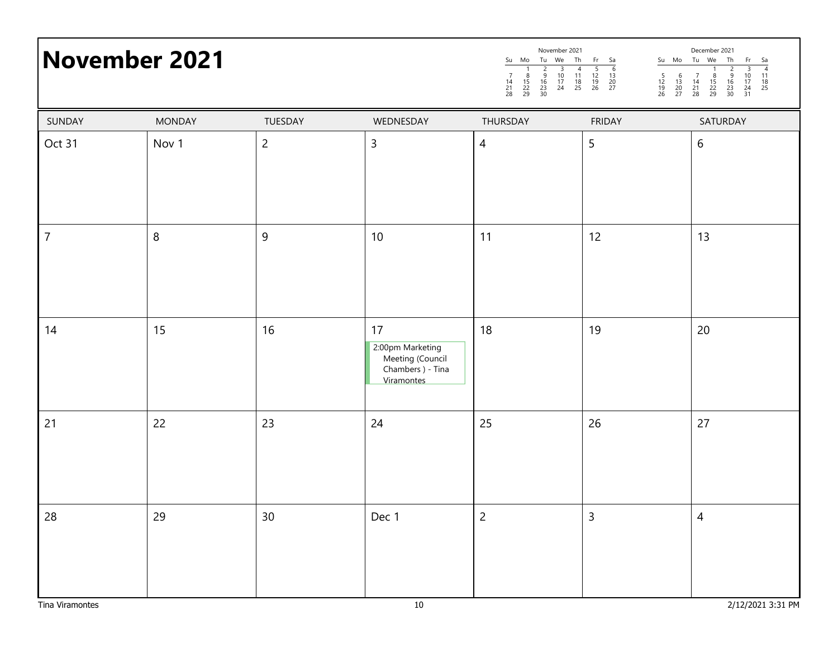|                | <b>November 2021</b> |                | <b>INOVERTIDEL SOST</b><br>December 2021<br>Su Mo Tu We Th Fr Sa<br>1 2 3 4 5 6<br>14 15 16 17 11 12 13<br>21 22 23 24 25 26 27<br>21 22 23 24 25 26 27<br>Su Mo Tu We Th<br>$\frac{Fr}{3}$ $\frac{Sa}{4}$<br>10 <sup>1</sup><br>$\begin{array}{c} 11 \\ 18 \\ 25 \end{array}$<br>$\frac{8}{15}$<br>22<br>29<br>$\frac{9}{16}$<br>$\frac{23}{30}$<br>$8$<br>15<br>22<br>29<br>$\frac{14}{21}$<br>28<br>$\frac{17}{24}$<br>31 |                          |               |                |
|----------------|----------------------|----------------|------------------------------------------------------------------------------------------------------------------------------------------------------------------------------------------------------------------------------------------------------------------------------------------------------------------------------------------------------------------------------------------------------------------------------|--------------------------|---------------|----------------|
| SUNDAY         | <b>MONDAY</b>        | TUESDAY        | WEDNESDAY                                                                                                                                                                                                                                                                                                                                                                                                                    | THURSDAY                 | <b>FRIDAY</b> | SATURDAY       |
| Oct 31         | Nov 1                | $\overline{2}$ | $\mathsf{3}$                                                                                                                                                                                                                                                                                                                                                                                                                 | $\overline{\mathcal{A}}$ | 5             | 6              |
| $\overline{7}$ | 8                    | 9              | 10                                                                                                                                                                                                                                                                                                                                                                                                                           | 11                       | 12            | 13             |
| 14             | 15                   | 16             | 17<br>2:00pm Marketing<br>Meeting (Council<br>Chambers ) - Tina<br>Viramontes                                                                                                                                                                                                                                                                                                                                                | 18                       | 19            | 20             |
| 21             | 22                   | 23             | 24                                                                                                                                                                                                                                                                                                                                                                                                                           | 25                       | 26            | 27             |
| 28             | 29                   | 30             | Dec 1                                                                                                                                                                                                                                                                                                                                                                                                                        | $\overline{2}$           | $\mathsf{3}$  | $\overline{4}$ |

December 2021

November 2021